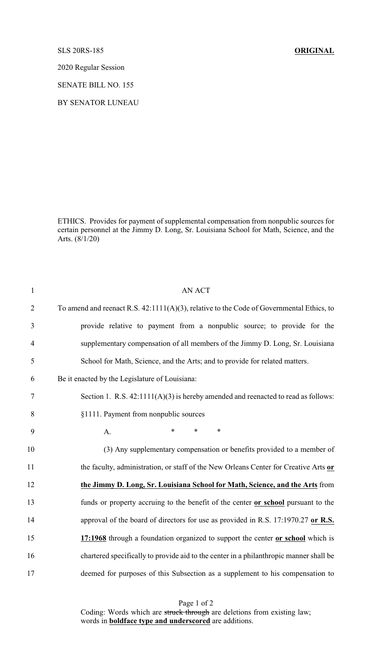## SLS 20RS-185 **ORIGINAL**

2020 Regular Session

SENATE BILL NO. 155

BY SENATOR LUNEAU

ETHICS. Provides for payment of supplemental compensation from nonpublic sources for certain personnel at the Jimmy D. Long, Sr. Louisiana School for Math, Science, and the Arts. (8/1/20)

| $\mathbf{1}$   | <b>AN ACT</b>                                                                            |
|----------------|------------------------------------------------------------------------------------------|
| $\overline{2}$ | To amend and reenact R.S. 42:1111(A)(3), relative to the Code of Governmental Ethics, to |
| 3              | provide relative to payment from a nonpublic source; to provide for the                  |
| $\overline{4}$ | supplementary compensation of all members of the Jimmy D. Long, Sr. Louisiana            |
| 5              | School for Math, Science, and the Arts; and to provide for related matters.              |
| 6              | Be it enacted by the Legislature of Louisiana:                                           |
| $\tau$         | Section 1. R.S. $42:1111(A)(3)$ is hereby amended and reenacted to read as follows:      |
| 8              | §1111. Payment from nonpublic sources                                                    |
| 9              | $\ast$<br>$\ast$<br>∗<br>A.                                                              |
| 10             | (3) Any supplementary compensation or benefits provided to a member of                   |
| 11             | the faculty, administration, or staff of the New Orleans Center for Creative Arts or     |
| 12             | the Jimmy D. Long, Sr. Louisiana School for Math, Science, and the Arts from             |
| 13             | funds or property accruing to the benefit of the center or school pursuant to the        |
| 14             | approval of the board of directors for use as provided in R.S. 17:1970.27 or R.S.        |
| 15             | 17:1968 through a foundation organized to support the center or school which is          |
| 16             | chartered specifically to provide aid to the center in a philanthropic manner shall be   |
| 17             | deemed for purposes of this Subsection as a supplement to his compensation to            |
|                |                                                                                          |

Page 1 of 2 Coding: Words which are struck through are deletions from existing law; words in **boldface type and underscored** are additions.